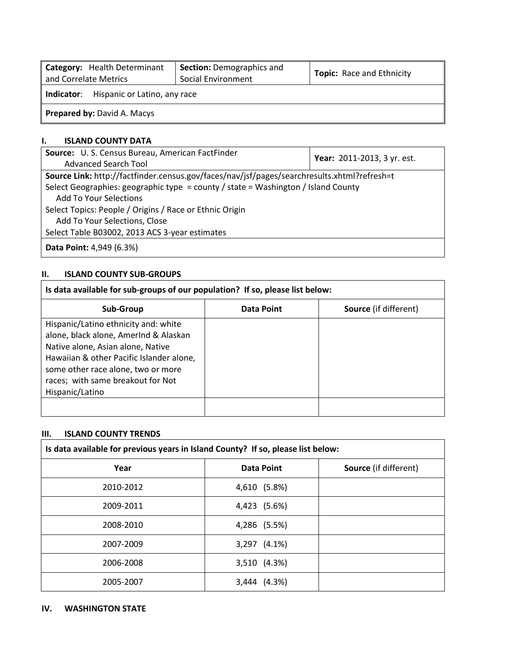| Category: Health Determinant<br>and Correlate Metrics | <b>Section: Demographics and</b><br>Social Environment | <b>Topic:</b> Race and Ethnicity |  |  |  |  |  |  |  |
|-------------------------------------------------------|--------------------------------------------------------|----------------------------------|--|--|--|--|--|--|--|
| Hispanic or Latino, any race<br>Indicator:            |                                                        |                                  |  |  |  |  |  |  |  |
| <b>Prepared by: David A. Macys</b>                    |                                                        |                                  |  |  |  |  |  |  |  |

#### **I. ISLAND COUNTY DATA**

| Source: U.S. Census Bureau, American FactFinder                                             | Year: 2011-2013, 3 yr. est. |  |  |  |  |  |  |  |
|---------------------------------------------------------------------------------------------|-----------------------------|--|--|--|--|--|--|--|
| Advanced Search Tool                                                                        |                             |  |  |  |  |  |  |  |
| Source Link: http://factfinder.census.gov/faces/nav/jsf/pages/searchresults.xhtml?refresh=t |                             |  |  |  |  |  |  |  |
| Select Geographies: geographic type = county / state = Washington / Island County           |                             |  |  |  |  |  |  |  |
| <b>Add To Your Selections</b>                                                               |                             |  |  |  |  |  |  |  |
| Select Topics: People / Origins / Race or Ethnic Origin                                     |                             |  |  |  |  |  |  |  |
| Add To Your Selections, Close                                                               |                             |  |  |  |  |  |  |  |
| Select Table B03002, 2013 ACS 3-year estimates                                              |                             |  |  |  |  |  |  |  |
| <b>Data Point: 4,949 (6.3%)</b>                                                             |                             |  |  |  |  |  |  |  |

## **II. ISLAND COUNTY SUB-GROUPS**

| Is data available for sub-groups of our population? If so, please list below:                                                                                                                                                                                |                   |                              |  |  |  |  |  |  |  |  |  |
|--------------------------------------------------------------------------------------------------------------------------------------------------------------------------------------------------------------------------------------------------------------|-------------------|------------------------------|--|--|--|--|--|--|--|--|--|
| Sub-Group                                                                                                                                                                                                                                                    | <b>Data Point</b> | <b>Source</b> (if different) |  |  |  |  |  |  |  |  |  |
| Hispanic/Latino ethnicity and: white<br>alone, black alone, AmerInd & Alaskan<br>Native alone, Asian alone, Native<br>Hawaiian & other Pacific Islander alone,<br>some other race alone, two or more<br>races; with same breakout for Not<br>Hispanic/Latino |                   |                              |  |  |  |  |  |  |  |  |  |
|                                                                                                                                                                                                                                                              |                   |                              |  |  |  |  |  |  |  |  |  |

 $\overline{\phantom{a}}$ 

# **III. ISLAND COUNTY TRENDS**

| Is data available for previous years in Island County? If so, please list below: |                   |                              |  |  |  |  |  |  |  |  |
|----------------------------------------------------------------------------------|-------------------|------------------------------|--|--|--|--|--|--|--|--|
| Year                                                                             | <b>Data Point</b> | <b>Source</b> (if different) |  |  |  |  |  |  |  |  |
| 2010-2012                                                                        | 4,610 (5.8%)      |                              |  |  |  |  |  |  |  |  |
| 2009-2011                                                                        | 4,423 (5.6%)      |                              |  |  |  |  |  |  |  |  |
| 2008-2010                                                                        | 4,286 (5.5%)      |                              |  |  |  |  |  |  |  |  |
| 2007-2009                                                                        | 3,297 (4.1%)      |                              |  |  |  |  |  |  |  |  |
| 2006-2008                                                                        | 3,510 (4.3%)      |                              |  |  |  |  |  |  |  |  |
| 2005-2007                                                                        | 3,444 (4.3%)      |                              |  |  |  |  |  |  |  |  |

#### **IV. WASHINGTON STATE**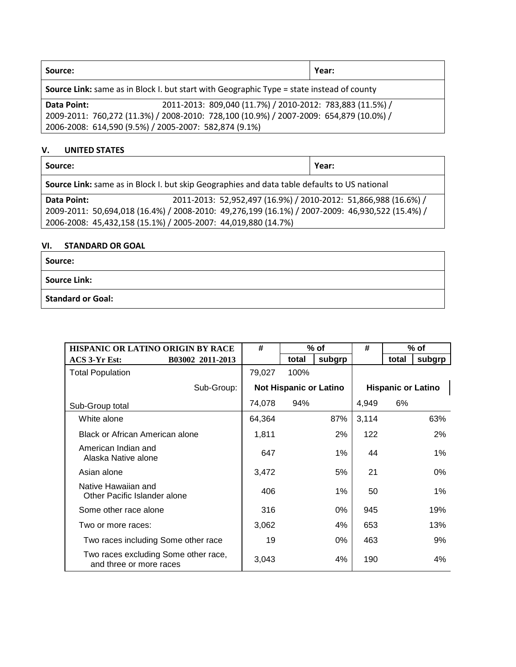| Source:                                                                                          |                                                                                        | Year: |  |  |  |  |  |  |  |
|--------------------------------------------------------------------------------------------------|----------------------------------------------------------------------------------------|-------|--|--|--|--|--|--|--|
| <b>Source Link:</b> same as in Block I. but start with Geographic Type = state instead of county |                                                                                        |       |  |  |  |  |  |  |  |
| Data Point:                                                                                      | 2011-2013: 809,040 (11.7%) / 2010-2012: 783,883 (11.5%) /                              |       |  |  |  |  |  |  |  |
|                                                                                                  | 2009-2011: 760,272 (11.3%) / 2008-2010: 728,100 (10.9%) / 2007-2009: 654,879 (10.0%) / |       |  |  |  |  |  |  |  |
|                                                                                                  | 2006-2008: 614,590 (9.5%) / 2005-2007: 582,874 (9.1%)                                  |       |  |  |  |  |  |  |  |

## **V. UNITED STATES**

| Source:                                                                                      |                                                                                                 | Year: |  |  |  |  |  |  |
|----------------------------------------------------------------------------------------------|-------------------------------------------------------------------------------------------------|-------|--|--|--|--|--|--|
| Source Link: same as in Block I. but skip Geographies and data table defaults to US national |                                                                                                 |       |  |  |  |  |  |  |
| Data Point:                                                                                  | 2011-2013: 52,952,497 (16.9%) / 2010-2012: 51,866,988 (16.6%) /                                 |       |  |  |  |  |  |  |
|                                                                                              | 2009-2011: 50,694,018 (16.4%) / 2008-2010: 49,276,199 (16.1%) / 2007-2009: 46,930,522 (15.4%) / |       |  |  |  |  |  |  |
|                                                                                              | 2006-2008: 45,432,158 (15.1%) / 2005-2007: 44,019,880 (14.7%)                                   |       |  |  |  |  |  |  |

### **VI. STANDARD OR GOAL**

| Source:                  |  |
|--------------------------|--|
| <b>Source Link:</b>      |  |
| <b>Standard or Goal:</b> |  |

| HISPANIC OR LATINO ORIGIN BY RACE                               | #      |                               | $%$ of | #     |                           | % of   |
|-----------------------------------------------------------------|--------|-------------------------------|--------|-------|---------------------------|--------|
| B03002 2011-2013<br>ACS 3-Yr Est:                               |        | total                         | subgrp |       | total                     | subgrp |
| <b>Total Population</b>                                         | 79,027 | 100%                          |        |       |                           |        |
| Sub-Group:                                                      |        | <b>Not Hispanic or Latino</b> |        |       | <b>Hispanic or Latino</b> |        |
| Sub-Group total                                                 | 74,078 | 94%                           |        | 4,949 | 6%                        |        |
| White alone                                                     | 64,364 |                               | 87%    | 3,114 |                           | 63%    |
| Black or African American alone                                 | 1,811  |                               | 2%     | 122   |                           | 2%     |
| American Indian and<br>Alaska Native alone                      | 647    |                               | 1%     | 44    |                           | $1\%$  |
| Asian alone                                                     | 3,472  |                               | 5%     | 21    |                           | 0%     |
| Native Hawaiian and<br>Other Pacific Islander alone             | 406    |                               | 1%     | 50    |                           | 1%     |
| Some other race alone                                           | 316    |                               | 0%     | 945   |                           | 19%    |
| Two or more races:                                              | 3,062  |                               | 4%     | 653   |                           | 13%    |
| Two races including Some other race                             | 19     |                               | 0%     | 463   |                           | 9%     |
| Two races excluding Some other race,<br>and three or more races | 3,043  |                               | 4%     | 190   |                           | 4%     |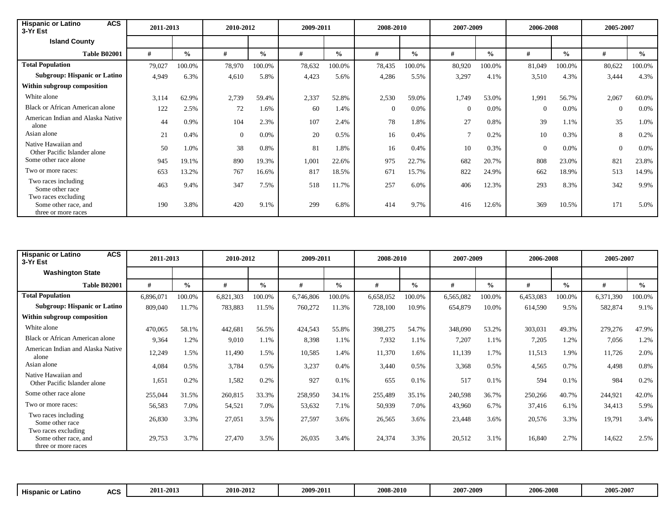| <b>ACS</b><br><b>Hispanic or Latino</b><br>3-Yr Est                | 2011-2013 |               | 2010-2012 |               |        | 2009-2011     |        | 2008-2010<br>2007-2009 |          | 2006-2008     |                |               | 2005-2007      |               |  |
|--------------------------------------------------------------------|-----------|---------------|-----------|---------------|--------|---------------|--------|------------------------|----------|---------------|----------------|---------------|----------------|---------------|--|
| <b>Island County</b>                                               |           |               |           |               |        |               |        |                        |          |               |                |               |                |               |  |
| <b>Table B02001</b>                                                | #         | $\frac{6}{9}$ | #         | $\frac{0}{0}$ | #      | $\frac{6}{6}$ | #      | $\frac{0}{0}$          | #        | $\frac{6}{6}$ | #              | $\frac{6}{9}$ | #              | $\frac{0}{0}$ |  |
| <b>Total Population</b>                                            | 79,027    | 100.0%        | 78,970    | 100.0%        | 78,632 | 100.0%        | 78,435 | 100.0%                 | 80,920   | 100.0%        | 81,049         | 100.0%        | 80,622         | 100.0%        |  |
| <b>Subgroup: Hispanic or Latino</b>                                | 4,949     | 6.3%          | 4,610     | 5.8%          | 4,423  | 5.6%          | 4,286  | 5.5%                   | 3,297    | 4.1%          | 3,510          | 4.3%          | 3,444          | 4.3%          |  |
| Within subgroup composition                                        |           |               |           |               |        |               |        |                        |          |               |                |               |                |               |  |
| White alone                                                        | 3,114     | 62.9%         | 2,739     | 59.4%         | 2,337  | 52.8%         | 2,530  | 59.0%                  | 1,749    | 53.0%         | 1,991          | 56.7%         | 2,067          | 60.0%         |  |
| Black or African American alone                                    | 122       | 2.5%          | 72        | 1.6%          | 60     | 1.4%          |        | 0.0%                   | $\Omega$ | $0.0\%$       | $\overline{0}$ | 0.0%          | $\overline{0}$ | 0.0%          |  |
| American Indian and Alaska Native<br>alone                         | 44        | 0.9%          | 104       | 2.3%          | 107    | 2.4%          | 78     | 1.8%                   | 27       | 0.8%          | 39             | 1.1%          | 35             | 1.0%          |  |
| Asian alone                                                        | 21        | 0.4%          | $\theta$  | 0.0%          | 20     | 0.5%          | 16     | 0.4%                   |          | 0.2%          | 10             | 0.3%          | 8              | 0.2%          |  |
| Native Hawaiian and<br>Other Pacific Islander alone                | 50        | 1.0%          | 38        | 0.8%          | 81     | 1.8%          | 16     | 0.4%                   | 10       | 0.3%          | $\Omega$       | $0.0\%$       | $\Omega$       | 0.0%          |  |
| Some other race alone                                              | 945       | 19.1%         | 890       | 19.3%         | 1,001  | 22.6%         | 975    | 22.7%                  | 682      | 20.7%         | 808            | 23.0%         | 821            | 23.8%         |  |
| Two or more races:                                                 | 653       | 13.2%         | 767       | 16.6%         | 817    | 18.5%         | 671    | 15.7%                  | 822      | 24.9%         | 662            | 18.9%         | 513            | 14.9%         |  |
| Two races including<br>Some other race                             | 463       | 9.4%          | 347       | 7.5%          | 518    | 11.7%         | 257    | 6.0%                   | 406      | 12.3%         | 293            | 8.3%          | 342            | 9.9%          |  |
| Two races excluding<br>Some other race, and<br>three or more races | 190       | 3.8%          | 420       | 9.1%          | 299    | 6.8%          | 414    | 9.7%                   | 416      | 12.6%         | 369            | 10.5%         | 171            | 5.0%          |  |

| <b>ACS</b><br><b>Hispanic or Latino</b><br>3-Yr Est                | 2011-2013 |               | 2010-2012 |               | 2009-2011 |               | 2008-2010 |               | 2007-2009 |               | 2006-2008 |               | 2005-2007 |               |
|--------------------------------------------------------------------|-----------|---------------|-----------|---------------|-----------|---------------|-----------|---------------|-----------|---------------|-----------|---------------|-----------|---------------|
| <b>Washington State</b>                                            |           |               |           |               |           |               |           |               |           |               |           |               |           |               |
| <b>Table B02001</b>                                                | #         | $\frac{0}{0}$ | #         | $\frac{0}{0}$ | #         | $\frac{0}{0}$ | #         | $\frac{0}{0}$ | #         | $\frac{0}{0}$ | #         | $\frac{0}{0}$ | #         | $\frac{6}{9}$ |
| <b>Total Population</b>                                            | 6,896,071 | 100.0%        | 6,821,303 | 100.0%        | 6,746,806 | 100.0%        | 6,658,052 | 100.0%        | 6,565,082 | 100.0%        | 6,453,083 | 100.0%        | 6,371,390 | 100.0%        |
| <b>Subgroup: Hispanic or Latino</b>                                | 809,040   | 11.7%         | 783,883   | 11.5%         | 760,272   | 11.3%         | 728,100   | 10.9%         | 654,879   | 10.0%         | 614,590   | 9.5%          | 582,874   | 9.1%          |
| Within subgroup composition                                        |           |               |           |               |           |               |           |               |           |               |           |               |           |               |
| White alone                                                        | 470,065   | 58.1%         | 442,681   | 56.5%         | 424,543   | 55.8%         | 398,275   | 54.7%         | 348,090   | 53.2%         | 303,031   | 49.3%         | 279,276   | 47.9%         |
| Black or African American alone                                    | 9,364     | 1.2%          | 9,010     | 1.1%          | 8,398     | 1.1%          | 7,932     | 1.1%          | 7,207     | 1.1%          | 7,205     | 1.2%          | 7,056     | 1.2%          |
| American Indian and Alaska Native<br>alone                         | 12,249    | 1.5%          | 11,490    | 1.5%          | 10,585    | 1.4%          | 11,370    | 1.6%          | 11,139    | 1.7%          | 11,513    | 1.9%          | 11,726    | 2.0%          |
| Asian alone                                                        | 4,084     | 0.5%          | 3,784     | 0.5%          | 3,237     | 0.4%          | 3,440     | 0.5%          | 3.368     | 0.5%          | 4,565     | 0.7%          | 4,498     | 0.8%          |
| Native Hawaiian and<br>Other Pacific Islander alone                | 1,651     | 0.2%          | 1,582     | 0.2%          | 927       | 0.1%          | 655       | 0.1%          | 517       | 0.1%          | 594       | 0.1%          | 984       | 0.2%          |
| Some other race alone                                              | 255,044   | 31.5%         | 260,815   | 33.3%         | 258,950   | 34.1%         | 255,489   | 35.1%         | 240,598   | 36.7%         | 250,266   | 40.7%         | 244,921   | 42.0%         |
| Two or more races:                                                 | 56,583    | 7.0%          | 54,521    | 7.0%          | 53,632    | 7.1%          | 50,939    | 7.0%          | 43,960    | 6.7%          | 37,416    | 6.1%          | 34,413    | 5.9%          |
| Two races including<br>Some other race                             | 26,830    | 3.3%          | 27,051    | 3.5%          | 27,597    | 3.6%          | 26,565    | 3.6%          | 23,448    | 3.6%          | 20,576    | 3.3%          | 19,791    | 3.4%          |
| Two races excluding<br>Some other race, and<br>three or more races | 29,753    | 3.7%          | 27,470    | 3.5%          | 26,035    | 3.4%          | 24,374    | 3.3%          | 20,512    | 3.1%          | 16,840    | 2.7%          | 14,622    | 2.5%          |

| 2006-2008<br>2005-2007<br>2011-2013<br>2010-2012<br>2007-2009<br>2008-2010<br>2009-2011<br>៱៸៝៝៝៝៝<br>.<br><b>Hispanic</b><br>. Latino<br>ິດr.<br>AUJ |
|-------------------------------------------------------------------------------------------------------------------------------------------------------|
|-------------------------------------------------------------------------------------------------------------------------------------------------------|